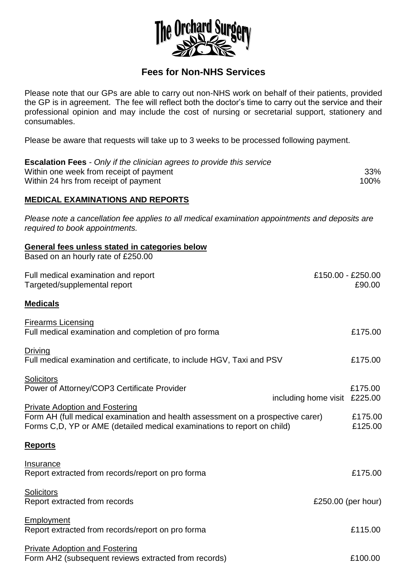

## **Fees for Non-NHS Services**

Please note that our GPs are able to carry out non-NHS work on behalf of their patients, provided the GP is in agreement. The fee will reflect both the doctor's time to carry out the service and their professional opinion and may include the cost of nursing or secretarial support, stationery and consumables.

Please be aware that requests will take up to 3 weeks to be processed following payment.

| <b>Escalation Fees</b> - Only if the clinician agrees to provide this service |      |
|-------------------------------------------------------------------------------|------|
| Within one week from receipt of payment                                       | 33%  |
| Within 24 hrs from receipt of payment                                         | 100% |

## **MEDICAL EXAMINATIONS AND REPORTS**

*Please note a cancellation fee applies to all medical examination appointments and deposits are required to book appointments.* 

| General fees unless stated in categories below                                                                                                             |                                         |
|------------------------------------------------------------------------------------------------------------------------------------------------------------|-----------------------------------------|
| Based on an hourly rate of £250.00                                                                                                                         |                                         |
| Full medical examination and report                                                                                                                        | £150.00 - £250.00                       |
| Targeted/supplemental report                                                                                                                               | £90.00                                  |
| <b>Medicals</b>                                                                                                                                            |                                         |
| <b>Firearms Licensing</b>                                                                                                                                  |                                         |
| Full medical examination and completion of pro forma                                                                                                       | £175.00                                 |
| <b>Driving</b>                                                                                                                                             |                                         |
| Full medical examination and certificate, to include HGV, Taxi and PSV                                                                                     | £175.00                                 |
| <b>Solicitors</b>                                                                                                                                          |                                         |
| Power of Attorney/COP3 Certificate Provider                                                                                                                | £175.00<br>including home visit £225.00 |
| <b>Private Adoption and Fostering</b>                                                                                                                      | £175.00                                 |
| Form AH (full medical examination and health assessment on a prospective carer)<br>Forms C,D, YP or AME (detailed medical examinations to report on child) |                                         |
| <b>Reports</b>                                                                                                                                             |                                         |
| Insurance                                                                                                                                                  |                                         |
| Report extracted from records/report on pro forma                                                                                                          | £175.00                                 |
| Solicitors                                                                                                                                                 |                                         |
| Report extracted from records                                                                                                                              | £250.00 (per hour)                      |
| Employment                                                                                                                                                 |                                         |
| Report extracted from records/report on pro forma                                                                                                          | £115.00                                 |
| <b>Private Adoption and Fostering</b>                                                                                                                      |                                         |
| Form AH2 (subsequent reviews extracted from records)                                                                                                       | £100.00                                 |